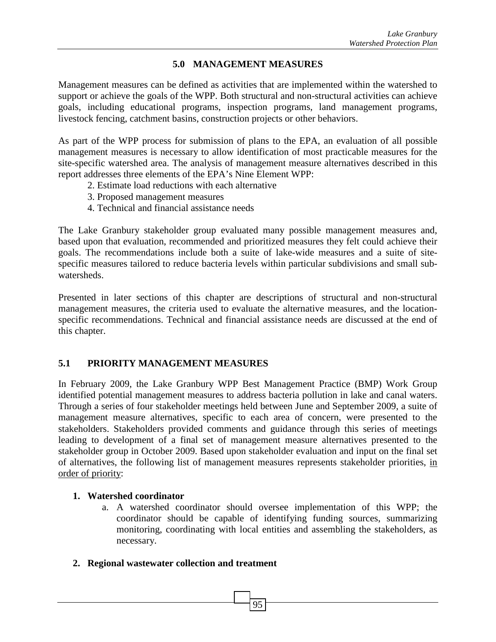#### **5.0 MANAGEMENT MEASURES**

Management measures can be defined as activities that are implemented within the watershed to support or achieve the goals of the WPP. Both structural and non-structural activities can achieve goals, including educational programs, inspection programs, land management programs, livestock fencing, catchment basins, construction projects or other behaviors.

As part of the WPP process for submission of plans to the EPA, an evaluation of all possible management measures is necessary to allow identification of most practicable measures for the site-specific watershed area. The analysis of management measure alternatives described in this report addresses three elements of the EPA's Nine Element WPP:

- 2. Estimate load reductions with each alternative
- 3. Proposed management measures
- 4. Technical and financial assistance needs

The Lake Granbury stakeholder group evaluated many possible management measures and, based upon that evaluation, recommended and prioritized measures they felt could achieve their goals. The recommendations include both a suite of lake-wide measures and a suite of sitespecific measures tailored to reduce bacteria levels within particular subdivisions and small subwatersheds.

Presented in later sections of this chapter are descriptions of structural and non-structural management measures, the criteria used to evaluate the alternative measures, and the locationspecific recommendations. Technical and financial assistance needs are discussed at the end of this chapter.

## **5.1 PRIORITY MANAGEMENT MEASURES**

In February 2009, the Lake Granbury WPP Best Management Practice (BMP) Work Group identified potential management measures to address bacteria pollution in lake and canal waters. Through a series of four stakeholder meetings held between June and September 2009, a suite of management measure alternatives, specific to each area of concern, were presented to the stakeholders. Stakeholders provided comments and guidance through this series of meetings leading to development of a final set of management measure alternatives presented to the stakeholder group in October 2009. Based upon stakeholder evaluation and input on the final set of alternatives, the following list of management measures represents stakeholder priorities, in order of priority:

#### **1. Watershed coordinator**

a. A watershed coordinator should oversee implementation of this WPP; the coordinator should be capable of identifying funding sources, summarizing monitoring, coordinating with local entities and assembling the stakeholders, as necessary.

#### **2. Regional wastewater collection and treatment**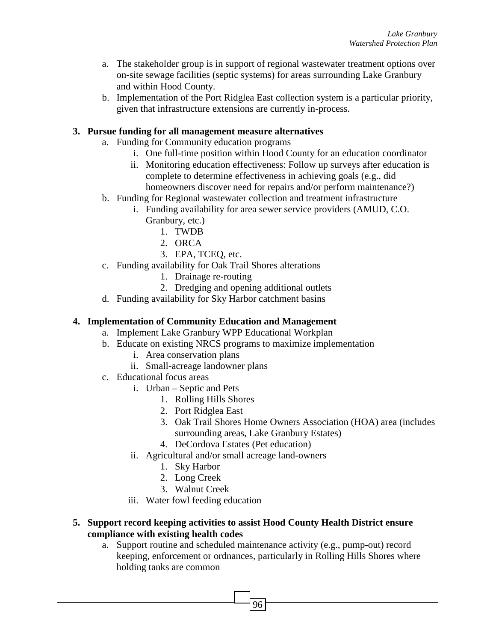- a. The stakeholder group is in support of regional wastewater treatment options over on-site sewage facilities (septic systems) for areas surrounding Lake Granbury and within Hood County.
- b. Implementation of the Port Ridglea East collection system is a particular priority, given that infrastructure extensions are currently in-process.

#### **3. Pursue funding for all management measure alternatives**

- a. Funding for Community education programs
	- i. One full-time position within Hood County for an education coordinator
	- ii. Monitoring education effectiveness: Follow up surveys after education is complete to determine effectiveness in achieving goals (e.g., did homeowners discover need for repairs and/or perform maintenance?)
- b. Funding for Regional wastewater collection and treatment infrastructure
	- i. Funding availability for area sewer service providers (AMUD, C.O. Granbury, etc.)
		- 1. TWDB
		- 2. ORCA
		- 3. EPA, TCEQ, etc.
- c. Funding availability for Oak Trail Shores alterations
	- 1. Drainage re-routing
	- 2. Dredging and opening additional outlets
- d. Funding availability for Sky Harbor catchment basins

#### **4. Implementation of Community Education and Management**

- a. Implement Lake Granbury WPP Educational Workplan
- b. Educate on existing NRCS programs to maximize implementation
	- i. Area conservation plans
	- ii. Small-acreage landowner plans
- c. Educational focus areas
	- i. Urban Septic and Pets
		- 1. Rolling Hills Shores
		- 2. Port Ridglea East
		- 3. Oak Trail Shores Home Owners Association (HOA) area (includes surrounding areas, Lake Granbury Estates)
		- 4. DeCordova Estates (Pet education)
	- ii. Agricultural and/or small acreage land-owners
		- 1. Sky Harbor
		- 2. Long Creek
		- 3. Walnut Creek
	- iii. Water fowl feeding education

#### **5. Support record keeping activities to assist Hood County Health District ensure compliance with existing health codes**

a. Support routine and scheduled maintenance activity (e.g., pump-out) record keeping, enforcement or ordnances, particularly in Rolling Hills Shores where holding tanks are common

96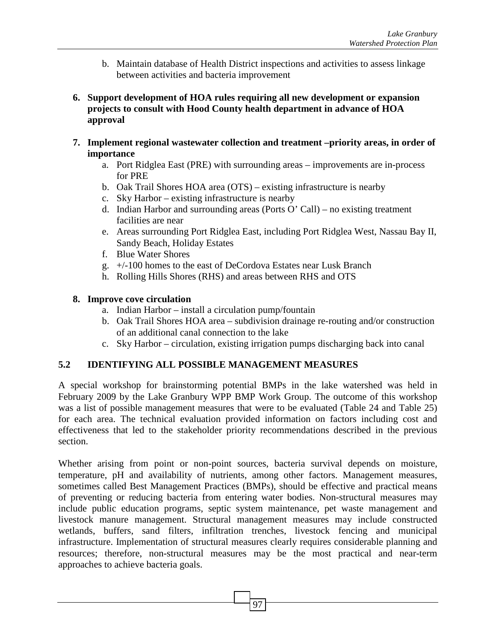- b. Maintain database of Health District inspections and activities to assess linkage between activities and bacteria improvement
- **6. Support development of HOA rules requiring all new development or expansion projects to consult with Hood County health department in advance of HOA approval**
- **7. Implement regional wastewater collection and treatment –priority areas, in order of importance** 
	- a. Port Ridglea East (PRE) with surrounding areas improvements are in-process for PRE
	- b. Oak Trail Shores HOA area (OTS) existing infrastructure is nearby
	- c. Sky Harbor existing infrastructure is nearby
	- d. Indian Harbor and surrounding areas (Ports O' Call) no existing treatment facilities are near
	- e. Areas surrounding Port Ridglea East, including Port Ridglea West, Nassau Bay II, Sandy Beach, Holiday Estates
	- f. Blue Water Shores
	- g. +/-100 homes to the east of DeCordova Estates near Lusk Branch
	- h. Rolling Hills Shores (RHS) and areas between RHS and OTS

#### **8. Improve cove circulation**

- a. Indian Harbor install a circulation pump/fountain
- b. Oak Trail Shores HOA area subdivision drainage re-routing and/or construction of an additional canal connection to the lake
- c. Sky Harbor circulation, existing irrigation pumps discharging back into canal

## **5.2 IDENTIFYING ALL POSSIBLE MANAGEMENT MEASURES**

A special workshop for brainstorming potential BMPs in the lake watershed was held in February 2009 by the Lake Granbury WPP BMP Work Group. The outcome of this workshop was a list of possible management measures that were to be evaluated (Table 24 and Table 25) for each area. The technical evaluation provided information on factors including cost and effectiveness that led to the stakeholder priority recommendations described in the previous section.

Whether arising from point or non-point sources, bacteria survival depends on moisture, temperature, pH and availability of nutrients, among other factors. Management measures, sometimes called Best Management Practices (BMPs), should be effective and practical means of preventing or reducing bacteria from entering water bodies. Non-structural measures may include public education programs, septic system maintenance, pet waste management and livestock manure management. Structural management measures may include constructed wetlands, buffers, sand filters, infiltration trenches, livestock fencing and municipal infrastructure. Implementation of structural measures clearly requires considerable planning and resources; therefore, non-structural measures may be the most practical and near-term approaches to achieve bacteria goals.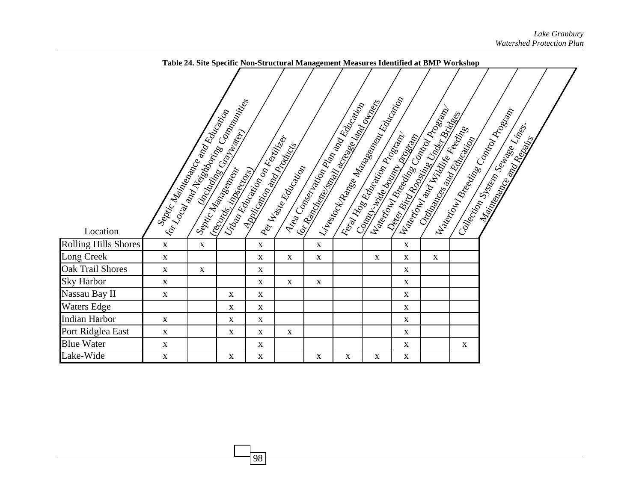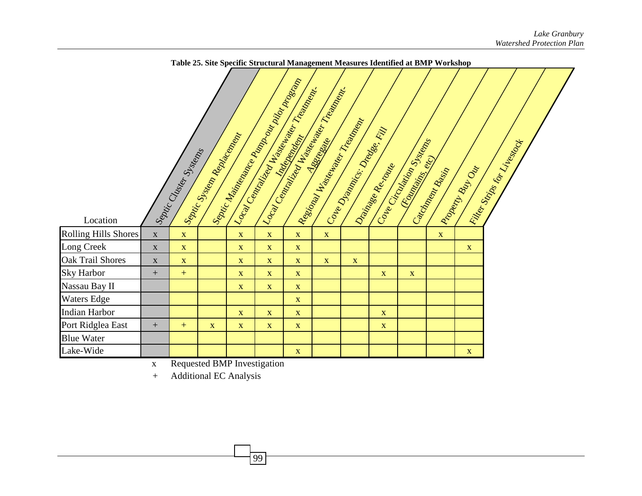

x Requested BMP Investigation

99

<sup>+</sup> Additional EC Analysis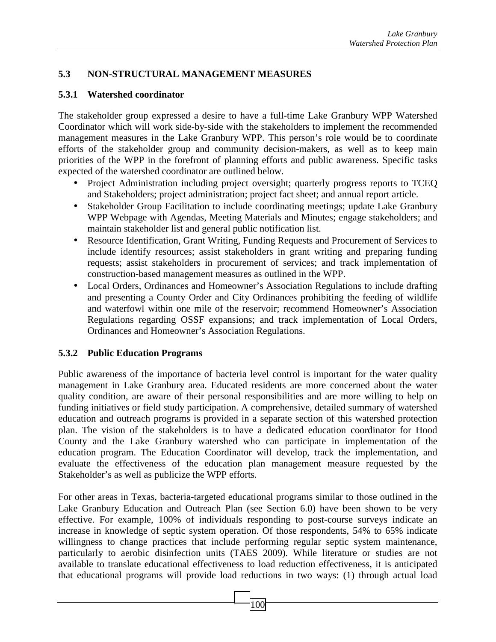# **5.3 NON-STRUCTURAL MANAGEMENT MEASURES**

#### **5.3.1 Watershed coordinator**

The stakeholder group expressed a desire to have a full-time Lake Granbury WPP Watershed Coordinator which will work side-by-side with the stakeholders to implement the recommended management measures in the Lake Granbury WPP. This person's role would be to coordinate efforts of the stakeholder group and community decision-makers, as well as to keep main priorities of the WPP in the forefront of planning efforts and public awareness. Specific tasks expected of the watershed coordinator are outlined below.

- Project Administration including project oversight; quarterly progress reports to TCEQ and Stakeholders; project administration; project fact sheet; and annual report article.
- Stakeholder Group Facilitation to include coordinating meetings; update Lake Granbury WPP Webpage with Agendas, Meeting Materials and Minutes; engage stakeholders; and maintain stakeholder list and general public notification list.
- Resource Identification, Grant Writing, Funding Requests and Procurement of Services to include identify resources; assist stakeholders in grant writing and preparing funding requests; assist stakeholders in procurement of services; and track implementation of construction-based management measures as outlined in the WPP.
- Local Orders, Ordinances and Homeowner's Association Regulations to include drafting and presenting a County Order and City Ordinances prohibiting the feeding of wildlife and waterfowl within one mile of the reservoir; recommend Homeowner's Association Regulations regarding OSSF expansions; and track implementation of Local Orders, Ordinances and Homeowner's Association Regulations.

## **5.3.2 Public Education Programs**

Public awareness of the importance of bacteria level control is important for the water quality management in Lake Granbury area. Educated residents are more concerned about the water quality condition, are aware of their personal responsibilities and are more willing to help on funding initiatives or field study participation. A comprehensive, detailed summary of watershed education and outreach programs is provided in a separate section of this watershed protection plan. The vision of the stakeholders is to have a dedicated education coordinator for Hood County and the Lake Granbury watershed who can participate in implementation of the education program. The Education Coordinator will develop, track the implementation, and evaluate the effectiveness of the education plan management measure requested by the Stakeholder's as well as publicize the WPP efforts.

For other areas in Texas, bacteria-targeted educational programs similar to those outlined in the Lake Granbury Education and Outreach Plan (see Section 6.0) have been shown to be very effective. For example, 100% of individuals responding to post-course surveys indicate an increase in knowledge of septic system operation. Of those respondents, 54% to 65% indicate willingness to change practices that include performing regular septic system maintenance, particularly to aerobic disinfection units (TAES 2009). While literature or studies are not available to translate educational effectiveness to load reduction effectiveness, it is anticipated that educational programs will provide load reductions in two ways: (1) through actual load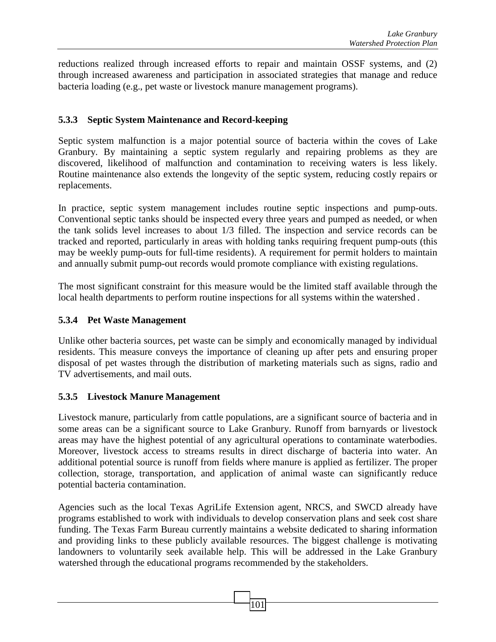reductions realized through increased efforts to repair and maintain OSSF systems, and (2) through increased awareness and participation in associated strategies that manage and reduce bacteria loading (e.g., pet waste or livestock manure management programs).

## **5.3.3 Septic System Maintenance and Record-keeping**

Septic system malfunction is a major potential source of bacteria within the coves of Lake Granbury. By maintaining a septic system regularly and repairing problems as they are discovered, likelihood of malfunction and contamination to receiving waters is less likely. Routine maintenance also extends the longevity of the septic system, reducing costly repairs or replacements.

In practice, septic system management includes routine septic inspections and pump-outs. Conventional septic tanks should be inspected every three years and pumped as needed, or when the tank solids level increases to about 1/3 filled. The inspection and service records can be tracked and reported, particularly in areas with holding tanks requiring frequent pump-outs (this may be weekly pump-outs for full-time residents). A requirement for permit holders to maintain and annually submit pump-out records would promote compliance with existing regulations.

The most significant constraint for this measure would be the limited staff available through the local health departments to perform routine inspections for all systems within the watershed .

## **5.3.4 Pet Waste Management**

Unlike other bacteria sources, pet waste can be simply and economically managed by individual residents. This measure conveys the importance of cleaning up after pets and ensuring proper disposal of pet wastes through the distribution of marketing materials such as signs, radio and TV advertisements, and mail outs.

## **5.3.5 Livestock Manure Management**

Livestock manure, particularly from cattle populations, are a significant source of bacteria and in some areas can be a significant source to Lake Granbury. Runoff from barnyards or livestock areas may have the highest potential of any agricultural operations to contaminate waterbodies. Moreover, livestock access to streams results in direct discharge of bacteria into water. An additional potential source is runoff from fields where manure is applied as fertilizer. The proper collection, storage, transportation, and application of animal waste can significantly reduce potential bacteria contamination.

Agencies such as the local Texas AgriLife Extension agent, NRCS, and SWCD already have programs established to work with individuals to develop conservation plans and seek cost share funding. The Texas Farm Bureau currently maintains a website dedicated to sharing information and providing links to these publicly available resources. The biggest challenge is motivating landowners to voluntarily seek available help. This will be addressed in the Lake Granbury watershed through the educational programs recommended by the stakeholders.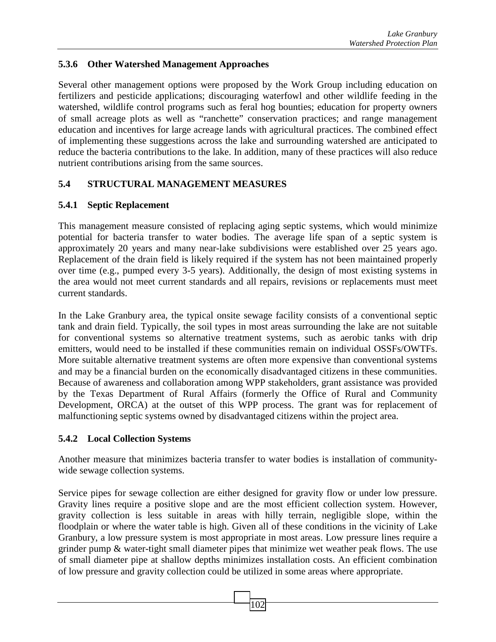## **5.3.6 Other Watershed Management Approaches**

Several other management options were proposed by the Work Group including education on fertilizers and pesticide applications; discouraging waterfowl and other wildlife feeding in the watershed, wildlife control programs such as feral hog bounties; education for property owners of small acreage plots as well as "ranchette" conservation practices; and range management education and incentives for large acreage lands with agricultural practices. The combined effect of implementing these suggestions across the lake and surrounding watershed are anticipated to reduce the bacteria contributions to the lake. In addition, many of these practices will also reduce nutrient contributions arising from the same sources.

# **5.4 STRUCTURAL MANAGEMENT MEASURES**

# **5.4.1 Septic Replacement**

This management measure consisted of replacing aging septic systems, which would minimize potential for bacteria transfer to water bodies. The average life span of a septic system is approximately 20 years and many near-lake subdivisions were established over 25 years ago. Replacement of the drain field is likely required if the system has not been maintained properly over time (e.g., pumped every 3-5 years). Additionally, the design of most existing systems in the area would not meet current standards and all repairs, revisions or replacements must meet current standards.

In the Lake Granbury area, the typical onsite sewage facility consists of a conventional septic tank and drain field. Typically, the soil types in most areas surrounding the lake are not suitable for conventional systems so alternative treatment systems, such as aerobic tanks with drip emitters, would need to be installed if these communities remain on individual OSSFs/OWTFs. More suitable alternative treatment systems are often more expensive than conventional systems and may be a financial burden on the economically disadvantaged citizens in these communities. Because of awareness and collaboration among WPP stakeholders, grant assistance was provided by the Texas Department of Rural Affairs (formerly the Office of Rural and Community Development, ORCA) at the outset of this WPP process. The grant was for replacement of malfunctioning septic systems owned by disadvantaged citizens within the project area.

## **5.4.2 Local Collection Systems**

Another measure that minimizes bacteria transfer to water bodies is installation of communitywide sewage collection systems.

Service pipes for sewage collection are either designed for gravity flow or under low pressure. Gravity lines require a positive slope and are the most efficient collection system. However, gravity collection is less suitable in areas with hilly terrain, negligible slope, within the floodplain or where the water table is high. Given all of these conditions in the vicinity of Lake Granbury, a low pressure system is most appropriate in most areas. Low pressure lines require a grinder pump & water-tight small diameter pipes that minimize wet weather peak flows. The use of small diameter pipe at shallow depths minimizes installation costs. An efficient combination of low pressure and gravity collection could be utilized in some areas where appropriate.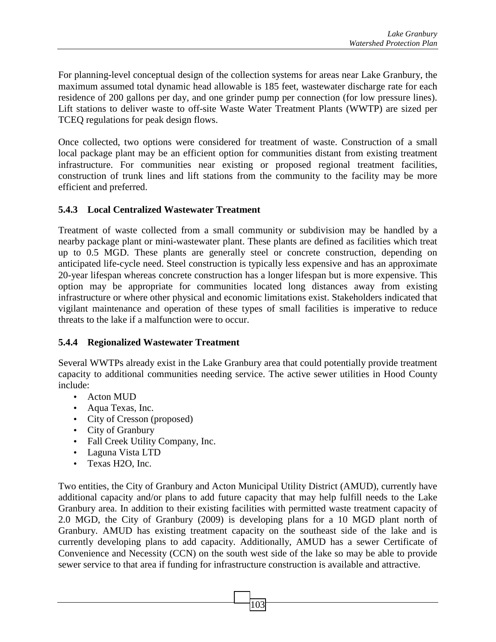For planning-level conceptual design of the collection systems for areas near Lake Granbury, the maximum assumed total dynamic head allowable is 185 feet, wastewater discharge rate for each residence of 200 gallons per day, and one grinder pump per connection (for low pressure lines). Lift stations to deliver waste to off-site Waste Water Treatment Plants (WWTP) are sized per TCEQ regulations for peak design flows.

Once collected, two options were considered for treatment of waste. Construction of a small local package plant may be an efficient option for communities distant from existing treatment infrastructure. For communities near existing or proposed regional treatment facilities, construction of trunk lines and lift stations from the community to the facility may be more efficient and preferred.

## **5.4.3 Local Centralized Wastewater Treatment**

Treatment of waste collected from a small community or subdivision may be handled by a nearby package plant or mini-wastewater plant. These plants are defined as facilities which treat up to 0.5 MGD. These plants are generally steel or concrete construction, depending on anticipated life-cycle need. Steel construction is typically less expensive and has an approximate 20-year lifespan whereas concrete construction has a longer lifespan but is more expensive. This option may be appropriate for communities located long distances away from existing infrastructure or where other physical and economic limitations exist. Stakeholders indicated that vigilant maintenance and operation of these types of small facilities is imperative to reduce threats to the lake if a malfunction were to occur.

## **5.4.4 Regionalized Wastewater Treatment**

Several WWTPs already exist in the Lake Granbury area that could potentially provide treatment capacity to additional communities needing service. The active sewer utilities in Hood County include:

- Acton MUD
- Aqua Texas, Inc.
- City of Cresson (proposed)
- City of Granbury
- Fall Creek Utility Company, Inc.
- Laguna Vista LTD
- Texas H2O, Inc.

Two entities, the City of Granbury and Acton Municipal Utility District (AMUD), currently have additional capacity and/or plans to add future capacity that may help fulfill needs to the Lake Granbury area. In addition to their existing facilities with permitted waste treatment capacity of 2.0 MGD, the City of Granbury (2009) is developing plans for a 10 MGD plant north of Granbury. AMUD has existing treatment capacity on the southeast side of the lake and is currently developing plans to add capacity. Additionally, AMUD has a sewer Certificate of Convenience and Necessity (CCN) on the south west side of the lake so may be able to provide sewer service to that area if funding for infrastructure construction is available and attractive.

103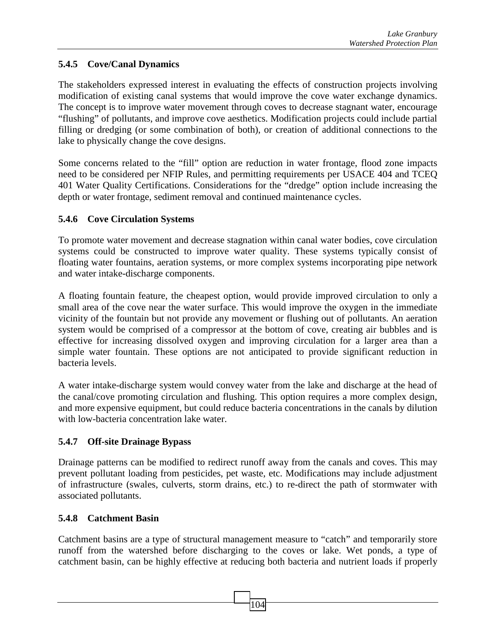# **5.4.5 Cove/Canal Dynamics**

The stakeholders expressed interest in evaluating the effects of construction projects involving modification of existing canal systems that would improve the cove water exchange dynamics. The concept is to improve water movement through coves to decrease stagnant water, encourage "flushing" of pollutants, and improve cove aesthetics. Modification projects could include partial filling or dredging (or some combination of both), or creation of additional connections to the lake to physically change the cove designs.

Some concerns related to the "fill" option are reduction in water frontage, flood zone impacts need to be considered per NFIP Rules, and permitting requirements per USACE 404 and TCEQ 401 Water Quality Certifications. Considerations for the "dredge" option include increasing the depth or water frontage, sediment removal and continued maintenance cycles.

## **5.4.6 Cove Circulation Systems**

To promote water movement and decrease stagnation within canal water bodies, cove circulation systems could be constructed to improve water quality. These systems typically consist of floating water fountains, aeration systems, or more complex systems incorporating pipe network and water intake-discharge components.

A floating fountain feature, the cheapest option, would provide improved circulation to only a small area of the cove near the water surface. This would improve the oxygen in the immediate vicinity of the fountain but not provide any movement or flushing out of pollutants. An aeration system would be comprised of a compressor at the bottom of cove, creating air bubbles and is effective for increasing dissolved oxygen and improving circulation for a larger area than a simple water fountain. These options are not anticipated to provide significant reduction in bacteria levels.

A water intake-discharge system would convey water from the lake and discharge at the head of the canal/cove promoting circulation and flushing. This option requires a more complex design, and more expensive equipment, but could reduce bacteria concentrations in the canals by dilution with low-bacteria concentration lake water.

# **5.4.7 Off-site Drainage Bypass**

Drainage patterns can be modified to redirect runoff away from the canals and coves. This may prevent pollutant loading from pesticides, pet waste, etc. Modifications may include adjustment of infrastructure (swales, culverts, storm drains, etc.) to re-direct the path of stormwater with associated pollutants.

## **5.4.8 Catchment Basin**

Catchment basins are a type of structural management measure to "catch" and temporarily store runoff from the watershed before discharging to the coves or lake. Wet ponds, a type of catchment basin, can be highly effective at reducing both bacteria and nutrient loads if properly

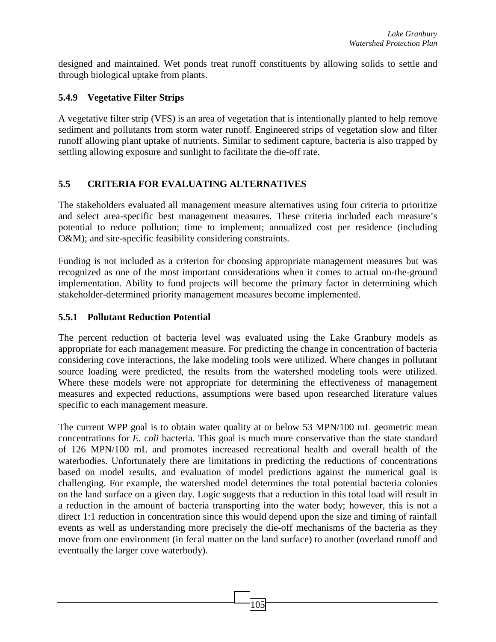designed and maintained. Wet ponds treat runoff constituents by allowing solids to settle and through biological uptake from plants.

## **5.4.9 Vegetative Filter Strips**

A vegetative filter strip (VFS) is an area of vegetation that is intentionally planted to help remove sediment and pollutants from storm water runoff. Engineered strips of vegetation slow and filter runoff allowing plant uptake of nutrients. Similar to sediment capture, bacteria is also trapped by settling allowing exposure and sunlight to facilitate the die-off rate.

# **5.5 CRITERIA FOR EVALUATING ALTERNATIVES**

The stakeholders evaluated all management measure alternatives using four criteria to prioritize and select area-specific best management measures. These criteria included each measure's potential to reduce pollution; time to implement; annualized cost per residence (including O&M); and site-specific feasibility considering constraints.

Funding is not included as a criterion for choosing appropriate management measures but was recognized as one of the most important considerations when it comes to actual on-the-ground implementation. Ability to fund projects will become the primary factor in determining which stakeholder-determined priority management measures become implemented.

## **5.5.1 Pollutant Reduction Potential**

The percent reduction of bacteria level was evaluated using the Lake Granbury models as appropriate for each management measure. For predicting the change in concentration of bacteria considering cove interactions, the lake modeling tools were utilized. Where changes in pollutant source loading were predicted, the results from the watershed modeling tools were utilized. Where these models were not appropriate for determining the effectiveness of management measures and expected reductions, assumptions were based upon researched literature values specific to each management measure.

The current WPP goal is to obtain water quality at or below 53 MPN/100 mL geometric mean concentrations for *E. coli* bacteria. This goal is much more conservative than the state standard of 126 MPN/100 mL and promotes increased recreational health and overall health of the waterbodies. Unfortunately there are limitations in predicting the reductions of concentrations based on model results, and evaluation of model predictions against the numerical goal is challenging. For example, the watershed model determines the total potential bacteria colonies on the land surface on a given day. Logic suggests that a reduction in this total load will result in a reduction in the amount of bacteria transporting into the water body; however, this is not a direct 1:1 reduction in concentration since this would depend upon the size and timing of rainfall events as well as understanding more precisely the die-off mechanisms of the bacteria as they move from one environment (in fecal matter on the land surface) to another (overland runoff and eventually the larger cove waterbody).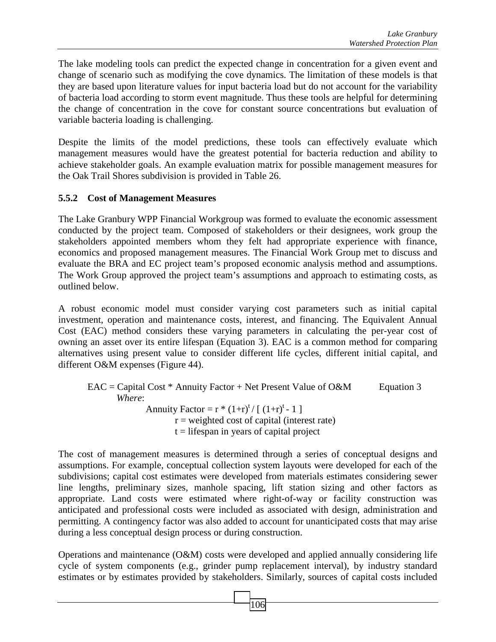The lake modeling tools can predict the expected change in concentration for a given event and change of scenario such as modifying the cove dynamics. The limitation of these models is that they are based upon literature values for input bacteria load but do not account for the variability of bacteria load according to storm event magnitude. Thus these tools are helpful for determining the change of concentration in the cove for constant source concentrations but evaluation of variable bacteria loading is challenging.

Despite the limits of the model predictions, these tools can effectively evaluate which management measures would have the greatest potential for bacteria reduction and ability to achieve stakeholder goals. An example evaluation matrix for possible management measures for the Oak Trail Shores subdivision is provided in Table 26.

## **5.5.2 Cost of Management Measures**

The Lake Granbury WPP Financial Workgroup was formed to evaluate the economic assessment conducted by the project team. Composed of stakeholders or their designees, work group the stakeholders appointed members whom they felt had appropriate experience with finance, economics and proposed management measures. The Financial Work Group met to discuss and evaluate the BRA and EC project team's proposed economic analysis method and assumptions. The Work Group approved the project team's assumptions and approach to estimating costs, as outlined below.

A robust economic model must consider varying cost parameters such as initial capital investment, operation and maintenance costs, interest, and financing. The Equivalent Annual Cost (EAC) method considers these varying parameters in calculating the per-year cost of owning an asset over its entire lifespan (Equation 3). EAC is a common method for comparing alternatives using present value to consider different life cycles, different initial capital, and different O&M expenses (Figure 44).

 $EAC =$ Capital Cost \* Annuity Factor + Net Present Value of O&M Equation 3 *Where*: Annuity Factor =  $r * (1+r)^t / [(1+r)^t - 1]$  $r =$  weighted cost of capital (interest rate)  $t =$  lifespan in years of capital project

The cost of management measures is determined through a series of conceptual designs and assumptions. For example, conceptual collection system layouts were developed for each of the subdivisions; capital cost estimates were developed from materials estimates considering sewer line lengths, preliminary sizes, manhole spacing, lift station sizing and other factors as appropriate. Land costs were estimated where right-of-way or facility construction was anticipated and professional costs were included as associated with design, administration and permitting. A contingency factor was also added to account for unanticipated costs that may arise during a less conceptual design process or during construction.

Operations and maintenance (O&M) costs were developed and applied annually considering life cycle of system components (e.g., grinder pump replacement interval), by industry standard estimates or by estimates provided by stakeholders. Similarly, sources of capital costs included

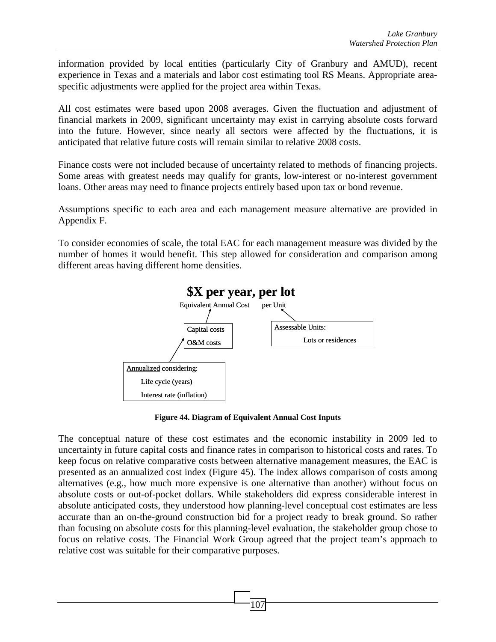information provided by local entities (particularly City of Granbury and AMUD), recent experience in Texas and a materials and labor cost estimating tool RS Means. Appropriate areaspecific adjustments were applied for the project area within Texas.

All cost estimates were based upon 2008 averages. Given the fluctuation and adjustment of financial markets in 2009, significant uncertainty may exist in carrying absolute costs forward into the future. However, since nearly all sectors were affected by the fluctuations, it is anticipated that relative future costs will remain similar to relative 2008 costs.

Finance costs were not included because of uncertainty related to methods of financing projects. Some areas with greatest needs may qualify for grants, low-interest or no-interest government loans. Other areas may need to finance projects entirely based upon tax or bond revenue.

Assumptions specific to each area and each management measure alternative are provided in Appendix F.

To consider economies of scale, the total EAC for each management measure was divided by the number of homes it would benefit. This step allowed for consideration and comparison among different areas having different home densities.



**Figure 44. Diagram of Equivalent Annual Cost Inputs**

The conceptual nature of these cost estimates and the economic instability in 2009 led to uncertainty in future capital costs and finance rates in comparison to historical costs and rates. To keep focus on relative comparative costs between alternative management measures, the EAC is presented as an annualized cost index (Figure 45). The index allows comparison of costs among alternatives (e.g., how much more expensive is one alternative than another) without focus on absolute costs or out-of-pocket dollars. While stakeholders did express considerable interest in absolute anticipated costs, they understood how planning-level conceptual cost estimates are less accurate than an on-the-ground construction bid for a project ready to break ground. So rather than focusing on absolute costs for this planning-level evaluation, the stakeholder group chose to focus on relative costs. The Financial Work Group agreed that the project team's approach to relative cost was suitable for their comparative purposes.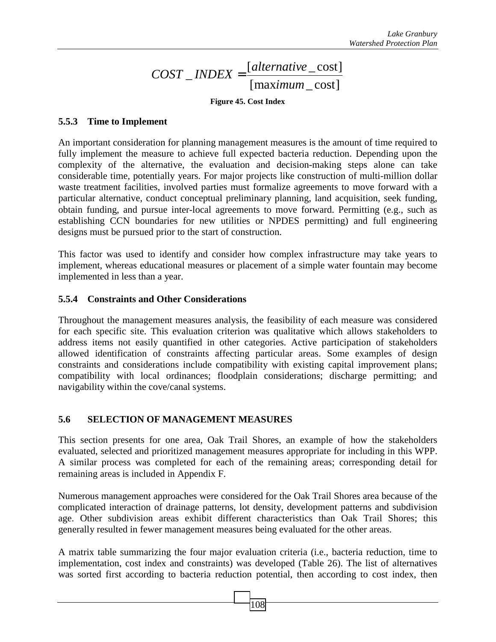#### [maximum\_cost] [alternative\_cost] \_ *alternative COST INDEX* =

#### **Figure 45. Cost Index**

#### **5.5.3 Time to Implement**

An important consideration for planning management measures is the amount of time required to fully implement the measure to achieve full expected bacteria reduction. Depending upon the complexity of the alternative, the evaluation and decision-making steps alone can take considerable time, potentially years. For major projects like construction of multi-million dollar waste treatment facilities, involved parties must formalize agreements to move forward with a particular alternative, conduct conceptual preliminary planning, land acquisition, seek funding, obtain funding, and pursue inter-local agreements to move forward. Permitting (e.g., such as establishing CCN boundaries for new utilities or NPDES permitting) and full engineering designs must be pursued prior to the start of construction.

This factor was used to identify and consider how complex infrastructure may take years to implement, whereas educational measures or placement of a simple water fountain may become implemented in less than a year.

#### **5.5.4 Constraints and Other Considerations**

Throughout the management measures analysis, the feasibility of each measure was considered for each specific site. This evaluation criterion was qualitative which allows stakeholders to address items not easily quantified in other categories. Active participation of stakeholders allowed identification of constraints affecting particular areas. Some examples of design constraints and considerations include compatibility with existing capital improvement plans; compatibility with local ordinances; floodplain considerations; discharge permitting; and navigability within the cove/canal systems.

## **5.6 SELECTION OF MANAGEMENT MEASURES**

This section presents for one area, Oak Trail Shores, an example of how the stakeholders evaluated, selected and prioritized management measures appropriate for including in this WPP. A similar process was completed for each of the remaining areas; corresponding detail for remaining areas is included in Appendix F.

Numerous management approaches were considered for the Oak Trail Shores area because of the complicated interaction of drainage patterns, lot density, development patterns and subdivision age. Other subdivision areas exhibit different characteristics than Oak Trail Shores; this generally resulted in fewer management measures being evaluated for the other areas.

A matrix table summarizing the four major evaluation criteria (i.e., bacteria reduction, time to implementation, cost index and constraints) was developed (Table 26). The list of alternatives was sorted first according to bacteria reduction potential, then according to cost index, then

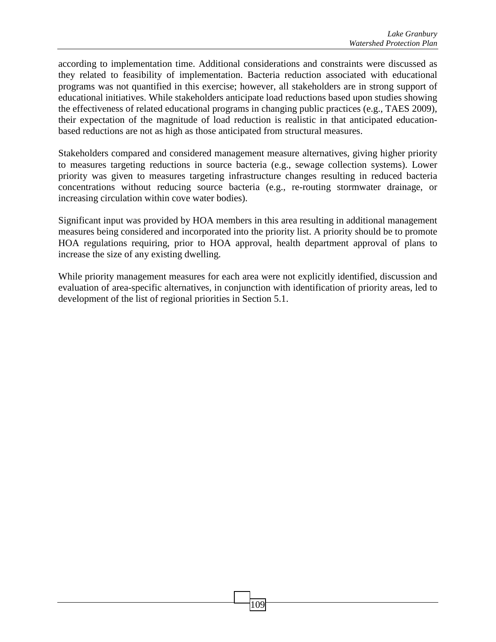according to implementation time. Additional considerations and constraints were discussed as they related to feasibility of implementation. Bacteria reduction associated with educational programs was not quantified in this exercise; however, all stakeholders are in strong support of educational initiatives. While stakeholders anticipate load reductions based upon studies showing the effectiveness of related educational programs in changing public practices (e.g., TAES 2009), their expectation of the magnitude of load reduction is realistic in that anticipated educationbased reductions are not as high as those anticipated from structural measures.

Stakeholders compared and considered management measure alternatives, giving higher priority to measures targeting reductions in source bacteria (e.g., sewage collection systems). Lower priority was given to measures targeting infrastructure changes resulting in reduced bacteria concentrations without reducing source bacteria (e.g., re-routing stormwater drainage, or increasing circulation within cove water bodies).

Significant input was provided by HOA members in this area resulting in additional management measures being considered and incorporated into the priority list. A priority should be to promote HOA regulations requiring, prior to HOA approval, health department approval of plans to increase the size of any existing dwelling.

While priority management measures for each area were not explicitly identified, discussion and evaluation of area-specific alternatives, in conjunction with identification of priority areas, led to development of the list of regional priorities in Section 5.1.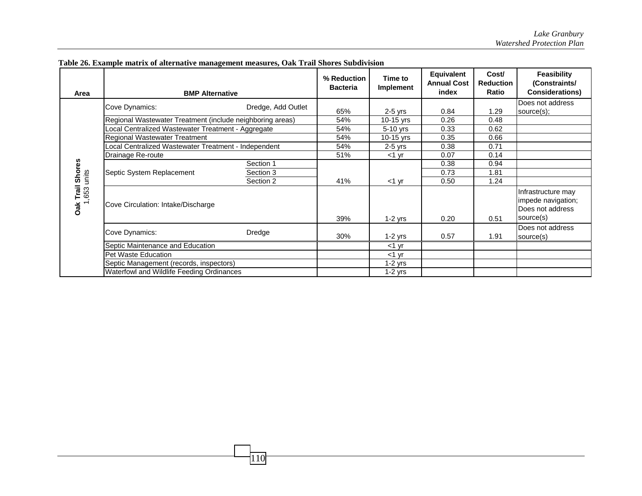| Area                                 | <b>BMP Alternative</b>                                    |                    | % Reduction<br><b>Bacteria</b> | Time to<br>Implement | Equivalent<br><b>Annual Cost</b><br>index | Cost/<br><b>Reduction</b><br><b>Ratio</b> | Feasibility<br>(Constraints/<br><b>Considerations)</b>                    |
|--------------------------------------|-----------------------------------------------------------|--------------------|--------------------------------|----------------------|-------------------------------------------|-------------------------------------------|---------------------------------------------------------------------------|
| Trail Shores<br>units<br>,653<br>Oak | Cove Dynamics:                                            | Dredge, Add Outlet | 65%                            | $2-5$ yrs            | 0.84                                      | 1.29                                      | Does not address                                                          |
|                                      | Regional Wastewater Treatment (include neighboring areas) |                    | 54%                            | 10-15 yrs            | 0.26                                      | 0.48                                      | source(s);                                                                |
|                                      | ocal Centralized Wastewater Treatment - Aggregate         |                    | 54%                            | $5-10$ yrs           | 0.33                                      | 0.62                                      |                                                                           |
|                                      | <b>Regional Wastewater Treatment</b>                      |                    | 54%                            | 10-15 $yrs$          | 0.35                                      | 0.66                                      |                                                                           |
|                                      | Local Centralized Wastewater Treatment - Independent      |                    | 54%                            | $2-5$ yrs            | 0.38                                      | 0.71                                      |                                                                           |
|                                      | Drainage Re-route                                         |                    | 51%                            | $<$ 1 yr             | 0.07                                      | 0.14                                      |                                                                           |
|                                      | Septic System Replacement                                 | Section 1          |                                |                      | 0.38                                      | 0.94                                      |                                                                           |
|                                      |                                                           | Section 3          |                                |                      | 0.73                                      | 1.81                                      |                                                                           |
|                                      |                                                           | Section 2          | 41%                            | $<$ 1 yr             | 0.50                                      | 1.24                                      |                                                                           |
|                                      | Cove Circulation: Intake/Discharge                        |                    | 39%                            | $1-2$ yrs            | 0.20                                      | 0.51                                      | Infrastructure may<br>impede navigation;<br>Does not address<br>source(s) |
|                                      | Cove Dynamics:                                            | Dredge             | 30%                            | $1-2$ yrs            | 0.57                                      | 1.91                                      | Does not address<br>source(s)                                             |
|                                      | Septic Maintenance and Education                          |                    |                                | $<$ 1 $\vee$ r       |                                           |                                           |                                                                           |
|                                      | Pet Waste Education                                       |                    |                                | $<$ 1 $\vee$ r       |                                           |                                           |                                                                           |
|                                      | Septic Management (records, inspectors)                   |                    |                                | $1-2$ yrs            |                                           |                                           |                                                                           |
|                                      | Waterfowl and Wildlife Feeding Ordinances                 |                    |                                | 1-2 yrs              |                                           |                                           |                                                                           |

**Table 26. Example matrix of alternative management measures, Oak Trail Shores Subdivision** 

 $110$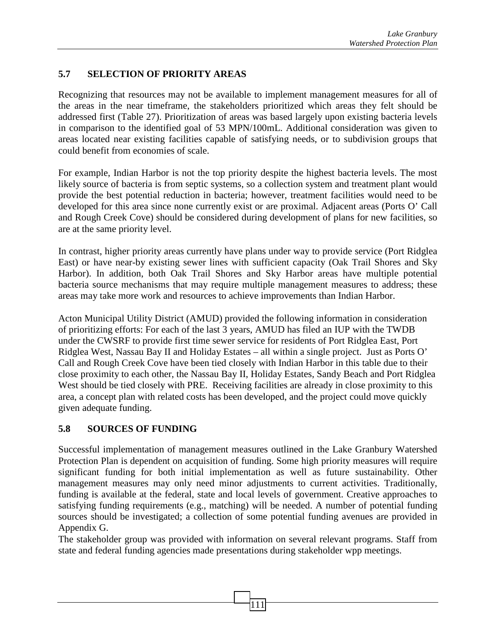# **5.7 SELECTION OF PRIORITY AREAS**

Recognizing that resources may not be available to implement management measures for all of the areas in the near timeframe, the stakeholders prioritized which areas they felt should be addressed first (Table 27). Prioritization of areas was based largely upon existing bacteria levels in comparison to the identified goal of 53 MPN/100mL. Additional consideration was given to areas located near existing facilities capable of satisfying needs, or to subdivision groups that could benefit from economies of scale.

For example, Indian Harbor is not the top priority despite the highest bacteria levels. The most likely source of bacteria is from septic systems, so a collection system and treatment plant would provide the best potential reduction in bacteria; however, treatment facilities would need to be developed for this area since none currently exist or are proximal. Adjacent areas (Ports O' Call and Rough Creek Cove) should be considered during development of plans for new facilities, so are at the same priority level.

In contrast, higher priority areas currently have plans under way to provide service (Port Ridglea East) or have near-by existing sewer lines with sufficient capacity (Oak Trail Shores and Sky Harbor). In addition, both Oak Trail Shores and Sky Harbor areas have multiple potential bacteria source mechanisms that may require multiple management measures to address; these areas may take more work and resources to achieve improvements than Indian Harbor.

Acton Municipal Utility District (AMUD) provided the following information in consideration of prioritizing efforts: For each of the last 3 years, AMUD has filed an IUP with the TWDB under the CWSRF to provide first time sewer service for residents of Port Ridglea East, Port Ridglea West, Nassau Bay II and Holiday Estates – all within a single project. Just as Ports O' Call and Rough Creek Cove have been tied closely with Indian Harbor in this table due to their close proximity to each other, the Nassau Bay II, Holiday Estates, Sandy Beach and Port Ridglea West should be tied closely with PRE. Receiving facilities are already in close proximity to this area, a concept plan with related costs has been developed, and the project could move quickly given adequate funding.

## **5.8 SOURCES OF FUNDING**

Successful implementation of management measures outlined in the Lake Granbury Watershed Protection Plan is dependent on acquisition of funding. Some high priority measures will require significant funding for both initial implementation as well as future sustainability. Other management measures may only need minor adjustments to current activities. Traditionally, funding is available at the federal, state and local levels of government. Creative approaches to satisfying funding requirements (e.g., matching) will be needed. A number of potential funding sources should be investigated; a collection of some potential funding avenues are provided in Appendix G.

The stakeholder group was provided with information on several relevant programs. Staff from state and federal funding agencies made presentations during stakeholder wpp meetings.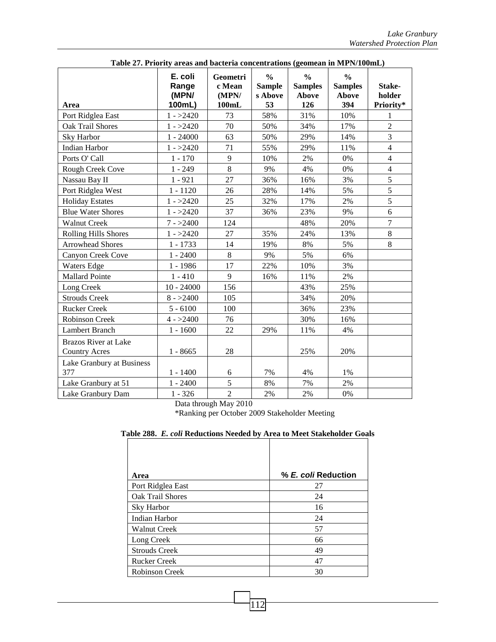| rabic 27. r riority areas and bacteria concentrations (geomean in Mr ry room) |                           |                             |                                           |                                          |                                                 |                  |
|-------------------------------------------------------------------------------|---------------------------|-----------------------------|-------------------------------------------|------------------------------------------|-------------------------------------------------|------------------|
|                                                                               | E. coli<br>Range<br>(MPN/ | Geometri<br>c Mean<br>(MPN/ | $\frac{0}{0}$<br><b>Sample</b><br>s Above | $\frac{0}{0}$<br><b>Samples</b><br>Above | $\frac{0}{0}$<br><b>Samples</b><br><b>Above</b> | Stake-<br>holder |
| Area                                                                          | 100mL)                    | 100mL                       | 53                                        | 126                                      | 394                                             | Priority*        |
| Port Ridglea East                                                             | $1 - >2420$               | 73                          | 58%                                       | 31%                                      | 10%                                             | 1                |
| Oak Trail Shores                                                              | $1 - >2420$               | 70                          | 50%                                       | 34%                                      | 17%                                             | $\overline{2}$   |
| Sky Harbor                                                                    | $1 - 24000$               | 63                          | 50%                                       | 29%                                      | 14%                                             | $\overline{3}$   |
| Indian Harbor                                                                 | $1 - >2420$               | 71                          | 55%                                       | 29%                                      | 11%                                             | $\overline{4}$   |
| Ports O' Call                                                                 | $1 - 170$                 | 9                           | 10%                                       | 2%                                       | 0%                                              | $\overline{4}$   |
| Rough Creek Cove                                                              | $1 - 249$                 | $8\,$                       | 9%                                        | 4%                                       | 0%                                              | $\overline{4}$   |
| Nassau Bay II                                                                 | $1 - 921$                 | 27                          | 36%                                       | 16%                                      | 3%                                              | 5                |
| Port Ridglea West                                                             | $1 - 1120$                | 26                          | 28%                                       | 14%                                      | 5%                                              | 5                |
| <b>Holiday Estates</b>                                                        | $1 - >2420$               | 25                          | 32%                                       | 17%                                      | 2%                                              | 5                |
| <b>Blue Water Shores</b>                                                      | $1 - >2420$               | 37                          | 36%                                       | 23%                                      | 9%                                              | 6                |
| <b>Walnut Creek</b>                                                           | $7 - >2400$               | 124                         |                                           | 48%                                      | 20%                                             | $\overline{7}$   |
| <b>Rolling Hills Shores</b>                                                   | $1 - >2420$               | 27                          | 35%                                       | 24%                                      | 13%                                             | 8                |
| <b>Arrowhead Shores</b>                                                       | $1 - 1733$                | 14                          | 19%                                       | 8%                                       | 5%                                              | 8                |
| Canyon Creek Cove                                                             | $1 - 2400$                | 8                           | 9%                                        | 5%                                       | 6%                                              |                  |
| <b>Waters Edge</b>                                                            | $1 - 1986$                | 17                          | 22%                                       | 10%                                      | 3%                                              |                  |
| <b>Mallard Pointe</b>                                                         | $1 - 410$                 | 9                           | 16%                                       | 11%                                      | 2%                                              |                  |
| Long Creek                                                                    | $10 - 24000$              | 156                         |                                           | 43%                                      | 25%                                             |                  |
| <b>Strouds Creek</b>                                                          | $8 - 2400$                | 105                         |                                           | 34%                                      | 20%                                             |                  |
| <b>Rucker Creek</b>                                                           | $5 - 6100$                | 100                         |                                           | 36%                                      | 23%                                             |                  |
| <b>Robinson Creek</b>                                                         | $4 - 2400$                | 76                          |                                           | 30%                                      | 16%                                             |                  |
| Lambert Branch                                                                | $1 - 1600$                | 22                          | 29%                                       | 11%                                      | 4%                                              |                  |
| <b>Brazos River at Lake</b><br><b>Country Acres</b>                           | $1 - 8665$                | 28                          |                                           | 25%                                      | 20%                                             |                  |
| Lake Granbury at Business<br>377                                              | $1 - 1400$                | 6                           | 7%                                        | 4%                                       | 1%                                              |                  |
| Lake Granbury at 51                                                           | $1 - 2400$                | 5                           | 8%                                        | 7%                                       | 2%                                              |                  |
| Lake Granbury Dam                                                             | $1 - 326$                 | $\overline{2}$              | 2%                                        | 2%                                       | 0%                                              |                  |

**Table 27. Priority areas and bacteria concentrations (geomean in MPN/100mL)** 

Data through May 2010

\*Ranking per October 2009 Stakeholder Meeting

| Table 288. E. coli Reductions Needed by Area to Meet Stakeholder Goals |  |
|------------------------------------------------------------------------|--|
|------------------------------------------------------------------------|--|

| Area                    | % E. coli Reduction |
|-------------------------|---------------------|
| Port Ridglea East       | 27                  |
| <b>Oak Trail Shores</b> | 24                  |
| Sky Harbor              | 16                  |
| Indian Harbor           | 24                  |
| <b>Walnut Creek</b>     | 57                  |
| Long Creek              | 66                  |
| <b>Strouds Creek</b>    | 49                  |
| <b>Rucker Creek</b>     | 47                  |
| <b>Robinson Creek</b>   | 30                  |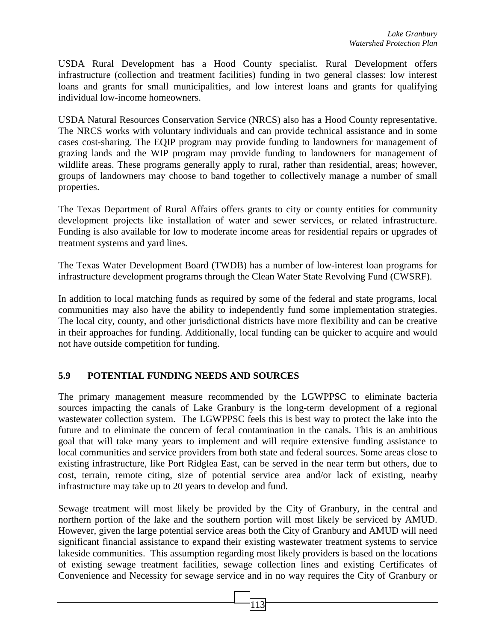USDA Rural Development has a Hood County specialist. Rural Development offers infrastructure (collection and treatment facilities) funding in two general classes: low interest loans and grants for small municipalities, and low interest loans and grants for qualifying individual low-income homeowners.

USDA Natural Resources Conservation Service (NRCS) also has a Hood County representative. The NRCS works with voluntary individuals and can provide technical assistance and in some cases cost-sharing. The EQIP program may provide funding to landowners for management of grazing lands and the WIP program may provide funding to landowners for management of wildlife areas. These programs generally apply to rural, rather than residential, areas; however, groups of landowners may choose to band together to collectively manage a number of small properties.

The Texas Department of Rural Affairs offers grants to city or county entities for community development projects like installation of water and sewer services, or related infrastructure. Funding is also available for low to moderate income areas for residential repairs or upgrades of treatment systems and yard lines.

The Texas Water Development Board (TWDB) has a number of low-interest loan programs for infrastructure development programs through the Clean Water State Revolving Fund (CWSRF).

In addition to local matching funds as required by some of the federal and state programs, local communities may also have the ability to independently fund some implementation strategies. The local city, county, and other jurisdictional districts have more flexibility and can be creative in their approaches for funding. Additionally, local funding can be quicker to acquire and would not have outside competition for funding.

## **5.9 POTENTIAL FUNDING NEEDS AND SOURCES**

The primary management measure recommended by the LGWPPSC to eliminate bacteria sources impacting the canals of Lake Granbury is the long-term development of a regional wastewater collection system. The LGWPPSC feels this is best way to protect the lake into the future and to eliminate the concern of fecal contamination in the canals. This is an ambitious goal that will take many years to implement and will require extensive funding assistance to local communities and service providers from both state and federal sources. Some areas close to existing infrastructure, like Port Ridglea East, can be served in the near term but others, due to cost, terrain, remote citing, size of potential service area and/or lack of existing, nearby infrastructure may take up to 20 years to develop and fund.

Sewage treatment will most likely be provided by the City of Granbury, in the central and northern portion of the lake and the southern portion will most likely be serviced by AMUD. However, given the large potential service areas both the City of Granbury and AMUD will need significant financial assistance to expand their existing wastewater treatment systems to service lakeside communities. This assumption regarding most likely providers is based on the locations of existing sewage treatment facilities, sewage collection lines and existing Certificates of Convenience and Necessity for sewage service and in no way requires the City of Granbury or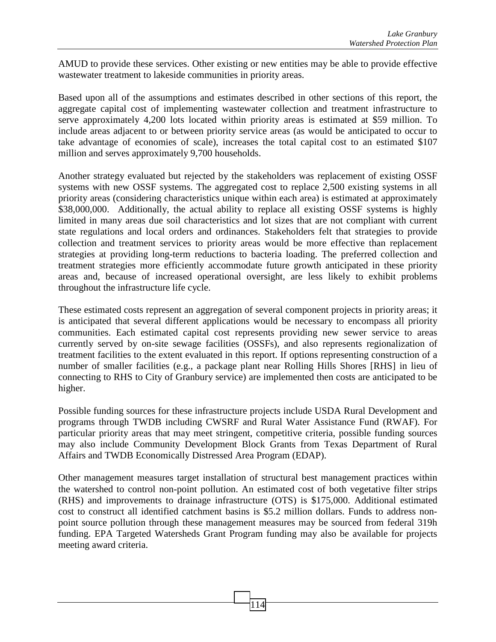AMUD to provide these services. Other existing or new entities may be able to provide effective wastewater treatment to lakeside communities in priority areas.

Based upon all of the assumptions and estimates described in other sections of this report, the aggregate capital cost of implementing wastewater collection and treatment infrastructure to serve approximately 4,200 lots located within priority areas is estimated at \$59 million. To include areas adjacent to or between priority service areas (as would be anticipated to occur to take advantage of economies of scale), increases the total capital cost to an estimated \$107 million and serves approximately 9,700 households.

Another strategy evaluated but rejected by the stakeholders was replacement of existing OSSF systems with new OSSF systems. The aggregated cost to replace 2,500 existing systems in all priority areas (considering characteristics unique within each area) is estimated at approximately \$38,000,000. Additionally, the actual ability to replace all existing OSSF systems is highly limited in many areas due soil characteristics and lot sizes that are not compliant with current state regulations and local orders and ordinances. Stakeholders felt that strategies to provide collection and treatment services to priority areas would be more effective than replacement strategies at providing long-term reductions to bacteria loading. The preferred collection and treatment strategies more efficiently accommodate future growth anticipated in these priority areas and, because of increased operational oversight, are less likely to exhibit problems throughout the infrastructure life cycle.

These estimated costs represent an aggregation of several component projects in priority areas; it is anticipated that several different applications would be necessary to encompass all priority communities. Each estimated capital cost represents providing new sewer service to areas currently served by on-site sewage facilities (OSSFs), and also represents regionalization of treatment facilities to the extent evaluated in this report. If options representing construction of a number of smaller facilities (e.g., a package plant near Rolling Hills Shores [RHS] in lieu of connecting to RHS to City of Granbury service) are implemented then costs are anticipated to be higher.

Possible funding sources for these infrastructure projects include USDA Rural Development and programs through TWDB including CWSRF and Rural Water Assistance Fund (RWAF). For particular priority areas that may meet stringent, competitive criteria, possible funding sources may also include Community Development Block Grants from Texas Department of Rural Affairs and TWDB Economically Distressed Area Program (EDAP).

Other management measures target installation of structural best management practices within the watershed to control non-point pollution. An estimated cost of both vegetative filter strips (RHS) and improvements to drainage infrastructure (OTS) is \$175,000. Additional estimated cost to construct all identified catchment basins is \$5.2 million dollars. Funds to address nonpoint source pollution through these management measures may be sourced from federal 319h funding. EPA Targeted Watersheds Grant Program funding may also be available for projects meeting award criteria.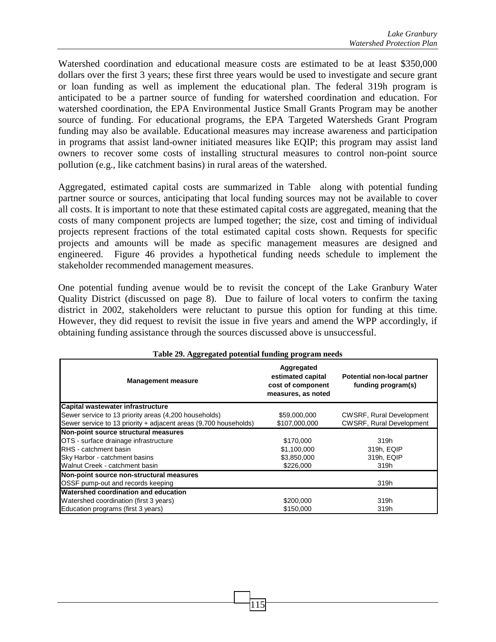Watershed coordination and educational measure costs are estimated to be at least \$350,000 dollars over the first 3 years; these first three years would be used to investigate and secure grant or loan funding as well as implement the educational plan. The federal 319h program is anticipated to be a partner source of funding for watershed coordination and education. For watershed coordination, the EPA Environmental Justice Small Grants Program may be another source of funding. For educational programs, the EPA Targeted Watersheds Grant Program funding may also be available. Educational measures may increase awareness and participation in programs that assist land-owner initiated measures like EQIP; this program may assist land owners to recover some costs of installing structural measures to control non-point source pollution (e.g., like catchment basins) in rural areas of the watershed.

Aggregated, estimated capital costs are summarized in Table along with potential funding partner source or sources, anticipating that local funding sources may not be available to cover all costs. It is important to note that these estimated capital costs are aggregated, meaning that the costs of many component projects are lumped together; the size, cost and timing of individual projects represent fractions of the total estimated capital costs shown. Requests for specific projects and amounts will be made as specific management measures are designed and engineered. Figure 46 provides a hypothetical funding needs schedule to implement the stakeholder recommended management measures.

One potential funding avenue would be to revisit the concept of the Lake Granbury Water Quality District (discussed on page 8). Due to failure of local voters to confirm the taxing district in 2002, stakeholders were reluctant to pursue this option for funding at this time. However, they did request to revisit the issue in five years and amend the WPP accordingly, if obtaining funding assistance through the sources discussed above is unsuccessful.

| rabic 29. segar galca polentiai runume program necus             |                                                                            |                                                   |  |  |  |
|------------------------------------------------------------------|----------------------------------------------------------------------------|---------------------------------------------------|--|--|--|
| <b>Management measure</b>                                        | Aggregated<br>estimated capital<br>cost of component<br>measures, as noted | Potential non-local partner<br>funding program(s) |  |  |  |
| Capital wastewater infrastructure                                |                                                                            |                                                   |  |  |  |
| Sewer service to 13 priority areas (4,200 households)            | \$59,000,000                                                               | <b>CWSRF, Rural Development</b>                   |  |  |  |
| Sewer service to 13 priority + adjacent areas (9,700 households) | \$107,000,000                                                              | <b>CWSRF, Rural Development</b>                   |  |  |  |
| Non-point source structural measures                             |                                                                            |                                                   |  |  |  |
| OTS - surface drainage infrastructure                            | \$170,000                                                                  | 319h                                              |  |  |  |
| RHS - catchment basin                                            | \$1,100,000                                                                | 319h, EQIP                                        |  |  |  |
| Sky Harbor - catchment basins                                    | \$3,850,000                                                                | 319h, EQIP                                        |  |  |  |
| Walnut Creek - catchment basin                                   | \$226,000                                                                  | 319h                                              |  |  |  |
| Non-point source non-structural measures                         |                                                                            |                                                   |  |  |  |
| OSSF pump-out and records keeping                                |                                                                            | 319h                                              |  |  |  |
| Watershed coordination and education                             |                                                                            |                                                   |  |  |  |
| Watershed coordination (first 3 years)                           | \$200,000                                                                  | 319h                                              |  |  |  |
| Education programs (first 3 years)                               | \$150,000                                                                  | 319h                                              |  |  |  |

#### **Table 29. Aggregated potential funding program needs**